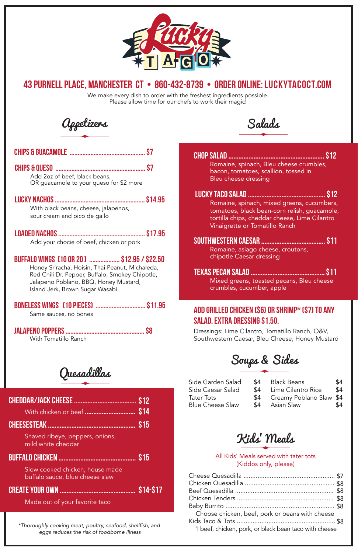

*\*Thoroughly cooking meat, poultry, seafood, shellfish, and eggs reduces the risk of foodborne illness*

Salads

Chop Salad ......................................................... \$12 Romaine, spinach, Bleu cheese crumbles, bacon, tomatoes, scallion, tossed in Bleu cheese dressing

Mixed greens, toasted pecans, Bleu cheese crumbles, cucumber, apple

- Lucky Taco Salad .............................................. \$12 Romaine, spinach, mixed greens, cucumbers, tomatoes, black bean-corn relish, guacamole, tortilla chips, cheddar cheese, Lime Cilantro Vinaigrette or Tomatillo Ranch
- Southwestern Caesar ...................................... \$11 Romaine, asiago cheese, croutons, chipotle Caesar dressing
- Texas Pecan Salad ............................................ \$11

### Add Grilled Chicken (\$6) or Shrimp\* (\$7) to any salad. Extra Dressing \$1.50.

We make every dish to order with the freshest ingredients possible. Please allow time for our chefs to work their magic!

> Dressings: Lime Cilantro, Tomatillo Ranch, O&V, Southwestern Caesar, Bleu Cheese, Honey Mustard

> > All Kids' Meals served with tater tots (Kiddos only, please)

Black Beans \$4 Lime Cilantro Rice \$4 Creamy Poblano Slaw \$4 Asian Slaw \$4

| Choose chicken, beef, pork or beans with cheese       |  |
|-------------------------------------------------------|--|
|                                                       |  |
| 1 beef, chicken, pork, or black bean taco with cheese |  |



## 43 purnell place, manchester ct • 860-432-8739 • order online: luckytacoct.com

Made out of your favorite taco

|--|--|--|--|

With chicken or beef .............................. \$14

Slow cooked chicken, house made buffalo sauce, blue cheese slaw

Create your own ............................................. \$14-\$17

## buffalo chicken .............................................. \$15

#### Cheesesteak .................................................... \$15

Shaved ribeye, peppers, onions, mild white cheddar

Quesadillas

Soups & Sides

| Side Garden Salad       | \$4 |
|-------------------------|-----|
| Side Caesar Salad       | \$4 |
| Tater Tots              | \$4 |
| <b>Blue Cheese Slaw</b> | \$4 |

Appetizers

| S7<br>Add 2oz of beef, black beans,<br>OR guacamole to your queso for \$2 more                                                                                                                                                |
|-------------------------------------------------------------------------------------------------------------------------------------------------------------------------------------------------------------------------------|
| With black beans, cheese, jalapenos,<br>sour cream and pico de gallo                                                                                                                                                          |
| Add your chocie of beef, chicken or pork                                                                                                                                                                                      |
| BUFFALO WINGS (10 OR 20)  \$12.95 / \$22.50<br>Honey Sriracha, Hoisin, Thai Peanut, Michaleda,<br>Red Chili Dr. Pepper, Buffalo, Smokey Chipotle,<br>Jalapeno Poblano, BBQ, Honey Mustard,<br>Island Jerk, Brown Sugar Wasabi |
| BONELESS WINGS [10 PIECES]  \$11.95<br>Same sauces, no bones                                                                                                                                                                  |
| With Tomatillo Ranch                                                                                                                                                                                                          |